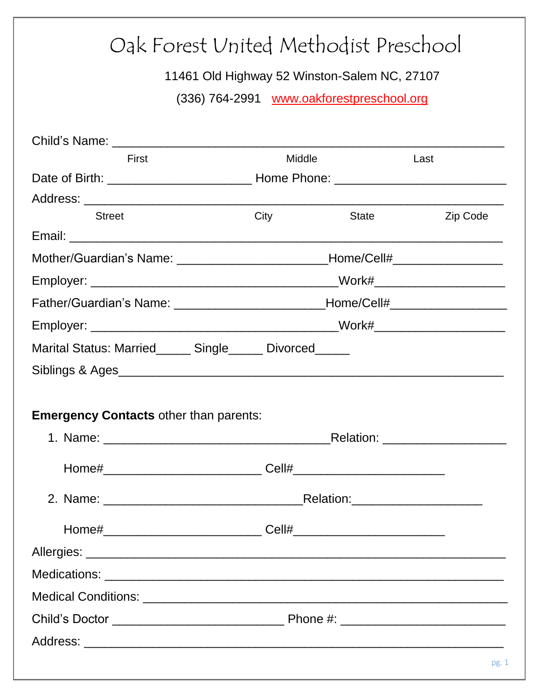| Oak Forest United Methodist Preschool                   |                                                                                  |              |          |
|---------------------------------------------------------|----------------------------------------------------------------------------------|--------------|----------|
| 11461 Old Highway 52 Winston-Salem NC, 27107            |                                                                                  |              |          |
| (336) 764-2991 www.oakforestpreschool.org               |                                                                                  |              |          |
|                                                         |                                                                                  |              |          |
|                                                         |                                                                                  |              |          |
| First                                                   | Middle                                                                           |              | Last     |
|                                                         |                                                                                  |              |          |
|                                                         |                                                                                  |              |          |
| <b>Street</b>                                           | City                                                                             | <b>State</b> | Zip Code |
|                                                         | Mother/Guardian's Name: _________________________________Home/Cell#_____________ |              |          |
|                                                         |                                                                                  |              |          |
|                                                         | Father/Guardian's Name: _________________________________Home/Cell#_____________ |              |          |
|                                                         |                                                                                  |              |          |
| Marital Status: Married______ Single_____ Divorced_____ |                                                                                  |              |          |
| Siblings & Ages                                         |                                                                                  |              |          |
|                                                         |                                                                                  |              |          |
| <b>Emergency Contacts other than parents:</b>           |                                                                                  |              |          |
|                                                         |                                                                                  |              |          |
|                                                         |                                                                                  |              |          |
|                                                         |                                                                                  |              |          |
|                                                         |                                                                                  |              |          |
|                                                         |                                                                                  |              |          |
|                                                         |                                                                                  |              |          |
|                                                         |                                                                                  |              |          |
|                                                         |                                                                                  |              |          |
|                                                         |                                                                                  |              |          |
|                                                         |                                                                                  |              |          |
|                                                         |                                                                                  |              |          |